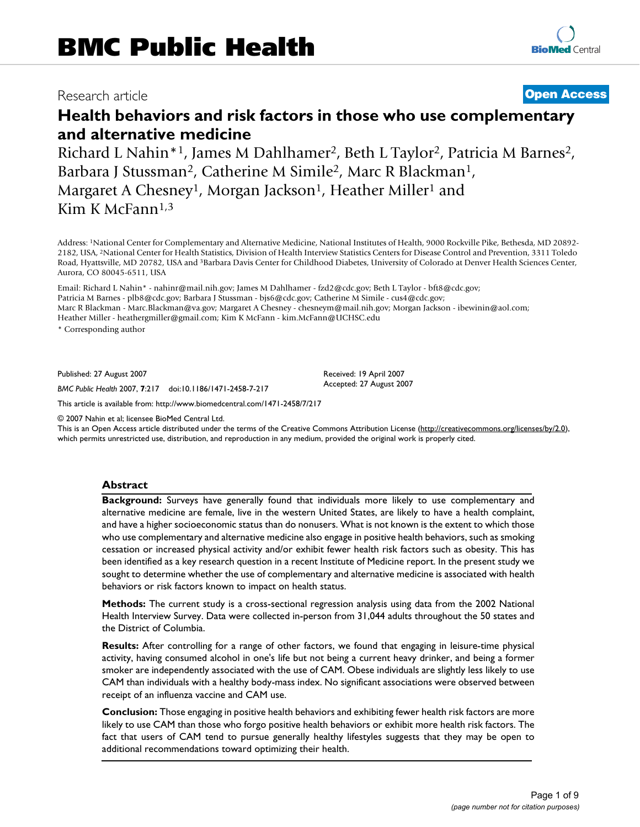# Research article **[Open Access](http://www.biomedcentral.com/info/about/charter/)**

# **Health behaviors and risk factors in those who use complementary and alternative medicine**

Richard L Nahin\*<sup>1</sup>, James M Dahlhamer<sup>2</sup>, Beth L Taylor<sup>2</sup>, Patricia M Barnes<sup>2</sup>, Barbara J Stussman<sup>2</sup>, Catherine M Simile<sup>2</sup>, Marc R Blackman<sup>1</sup>, Margaret A Chesney<sup>1</sup>, Morgan Jackson<sup>1</sup>, Heather Miller<sup>1</sup> and Kim K McFann $1,3$ 

Address: 1National Center for Complementary and Alternative Medicine, National Institutes of Health, 9000 Rockville Pike, Bethesda, MD 20892- 2182, USA, 2National Center for Health Statistics, Division of Health Interview Statistics Centers for Disease Control and Prevention, 3311 Toledo Road, Hyattsville, MD 20782, USA and 3Barbara Davis Center for Childhood Diabetes, University of Colorado at Denver Health Sciences Center, Aurora, CO 80045-6511, USA

Email: Richard L Nahin\* - nahinr@mail.nih.gov; James M Dahlhamer - fzd2@cdc.gov; Beth L Taylor - bft8@cdc.gov; Patricia M Barnes - plb8@cdc.gov; Barbara J Stussman - bjs6@cdc.gov; Catherine M Simile - cus4@cdc.gov; Marc R Blackman - Marc.Blackman@va.gov; Margaret A Chesney - chesneym@mail.nih.gov; Morgan Jackson - ibewinin@aol.com; Heather Miller - heathergmiller@gmail.com; Kim K McFann - kim.McFann@UCHSC.edu

\* Corresponding author

Published: 27 August 2007

*BMC Public Health* 2007, **7**:217 doi:10.1186/1471-2458-7-217

[This article is available from: http://www.biomedcentral.com/1471-2458/7/217](http://www.biomedcentral.com/1471-2458/7/217)

© 2007 Nahin et al; licensee BioMed Central Ltd.

This is an Open Access article distributed under the terms of the Creative Commons Attribution License [\(http://creativecommons.org/licenses/by/2.0\)](http://creativecommons.org/licenses/by/2.0), which permits unrestricted use, distribution, and reproduction in any medium, provided the original work is properly cited.

Received: 19 April 2007 Accepted: 27 August 2007

#### **Abstract**

**Background:** Surveys have generally found that individuals more likely to use complementary and alternative medicine are female, live in the western United States, are likely to have a health complaint, and have a higher socioeconomic status than do nonusers. What is not known is the extent to which those who use complementary and alternative medicine also engage in positive health behaviors, such as smoking cessation or increased physical activity and/or exhibit fewer health risk factors such as obesity. This has been identified as a key research question in a recent Institute of Medicine report. In the present study we sought to determine whether the use of complementary and alternative medicine is associated with health behaviors or risk factors known to impact on health status.

**Methods:** The current study is a cross-sectional regression analysis using data from the 2002 National Health Interview Survey. Data were collected in-person from 31,044 adults throughout the 50 states and the District of Columbia.

**Results:** After controlling for a range of other factors, we found that engaging in leisure-time physical activity, having consumed alcohol in one's life but not being a current heavy drinker, and being a former smoker are independently associated with the use of CAM. Obese individuals are slightly less likely to use CAM than individuals with a healthy body-mass index. No significant associations were observed between receipt of an influenza vaccine and CAM use.

**Conclusion:** Those engaging in positive health behaviors and exhibiting fewer health risk factors are more likely to use CAM than those who forgo positive health behaviors or exhibit more health risk factors. The fact that users of CAM tend to pursue generally healthy lifestyles suggests that they may be open to additional recommendations toward optimizing their health.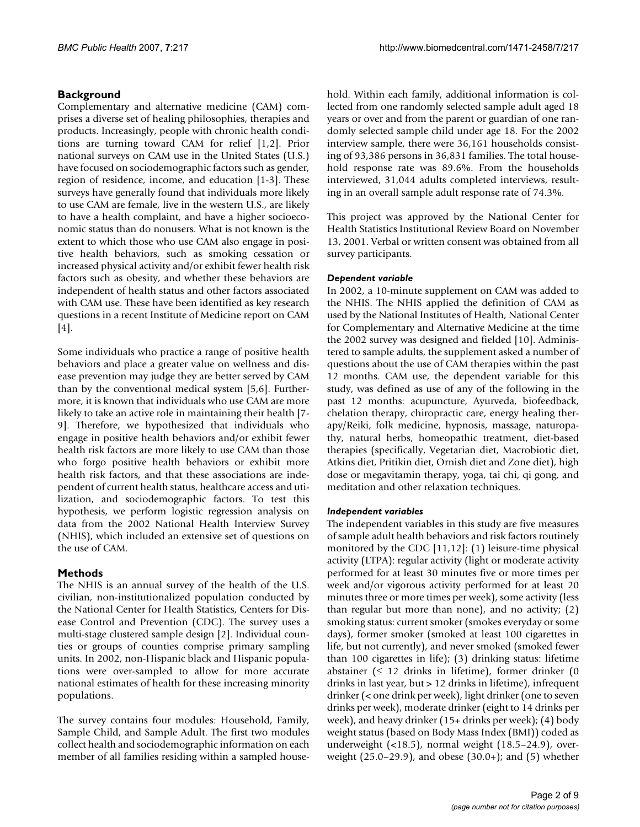# **Background**

Complementary and alternative medicine (CAM) comprises a diverse set of healing philosophies, therapies and products. Increasingly, people with chronic health conditions are turning toward CAM for relief [1,2]. Prior national surveys on CAM use in the United States (U.S.) have focused on sociodemographic factors such as gender, region of residence, income, and education [1-3]. These surveys have generally found that individuals more likely to use CAM are female, live in the western U.S., are likely to have a health complaint, and have a higher socioeconomic status than do nonusers. What is not known is the extent to which those who use CAM also engage in positive health behaviors, such as smoking cessation or increased physical activity and/or exhibit fewer health risk factors such as obesity, and whether these behaviors are independent of health status and other factors associated with CAM use. These have been identified as key research questions in a recent Institute of Medicine report on CAM [4].

Some individuals who practice a range of positive health behaviors and place a greater value on wellness and disease prevention may judge they are better served by CAM than by the conventional medical system [5,6]. Furthermore, it is known that individuals who use CAM are more likely to take an active role in maintaining their health [7- 9]. Therefore, we hypothesized that individuals who engage in positive health behaviors and/or exhibit fewer health risk factors are more likely to use CAM than those who forgo positive health behaviors or exhibit more health risk factors, and that these associations are independent of current health status, healthcare access and utilization, and sociodemographic factors. To test this hypothesis, we perform logistic regression analysis on data from the 2002 National Health Interview Survey (NHIS), which included an extensive set of questions on the use of CAM.

# **Methods**

The NHIS is an annual survey of the health of the U.S. civilian, non-institutionalized population conducted by the National Center for Health Statistics, Centers for Disease Control and Prevention (CDC). The survey uses a multi-stage clustered sample design [2]. Individual counties or groups of counties comprise primary sampling units. In 2002, non-Hispanic black and Hispanic populations were over-sampled to allow for more accurate national estimates of health for these increasing minority populations.

The survey contains four modules: Household, Family, Sample Child, and Sample Adult. The first two modules collect health and sociodemographic information on each member of all families residing within a sampled household. Within each family, additional information is collected from one randomly selected sample adult aged 18 years or over and from the parent or guardian of one randomly selected sample child under age 18. For the 2002 interview sample, there were 36,161 households consisting of 93,386 persons in 36,831 families. The total household response rate was 89.6%. From the households interviewed, 31,044 adults completed interviews, resulting in an overall sample adult response rate of 74.3%.

This project was approved by the National Center for Health Statistics Institutional Review Board on November 13, 2001. Verbal or written consent was obtained from all survey participants.

# *Dependent variable*

In 2002, a 10-minute supplement on CAM was added to the NHIS. The NHIS applied the definition of CAM as used by the National Institutes of Health, National Center for Complementary and Alternative Medicine at the time the 2002 survey was designed and fielded [10]. Administered to sample adults, the supplement asked a number of questions about the use of CAM therapies within the past 12 months. CAM use, the dependent variable for this study, was defined as use of any of the following in the past 12 months: acupuncture, Ayurveda, biofeedback, chelation therapy, chiropractic care, energy healing therapy/Reiki, folk medicine, hypnosis, massage, naturopathy, natural herbs, homeopathic treatment, diet-based therapies (specifically, Vegetarian diet, Macrobiotic diet, Atkins diet, Pritikin diet, Ornish diet and Zone diet), high dose or megavitamin therapy, yoga, tai chi, qi gong, and meditation and other relaxation techniques.

#### *Independent variables*

The independent variables in this study are five measures of sample adult health behaviors and risk factors routinely monitored by the CDC [11,12]: (1) leisure-time physical activity (LTPA): regular activity (light or moderate activity performed for at least 30 minutes five or more times per week and/or vigorous activity performed for at least 20 minutes three or more times per week), some activity (less than regular but more than none), and no activity; (2) smoking status: current smoker (smokes everyday or some days), former smoker (smoked at least 100 cigarettes in life, but not currently), and never smoked (smoked fewer than 100 cigarettes in life); (3) drinking status: lifetime abstainer ( $\leq 12$  drinks in lifetime), former drinker (0 drinks in last year, but > 12 drinks in lifetime), infrequent drinker (< one drink per week), light drinker (one to seven drinks per week), moderate drinker (eight to 14 drinks per week), and heavy drinker (15+ drinks per week); (4) body weight status (based on Body Mass Index (BMI)) coded as underweight (<18.5), normal weight (18.5–24.9), overweight (25.0–29.9), and obese (30.0+); and (5) whether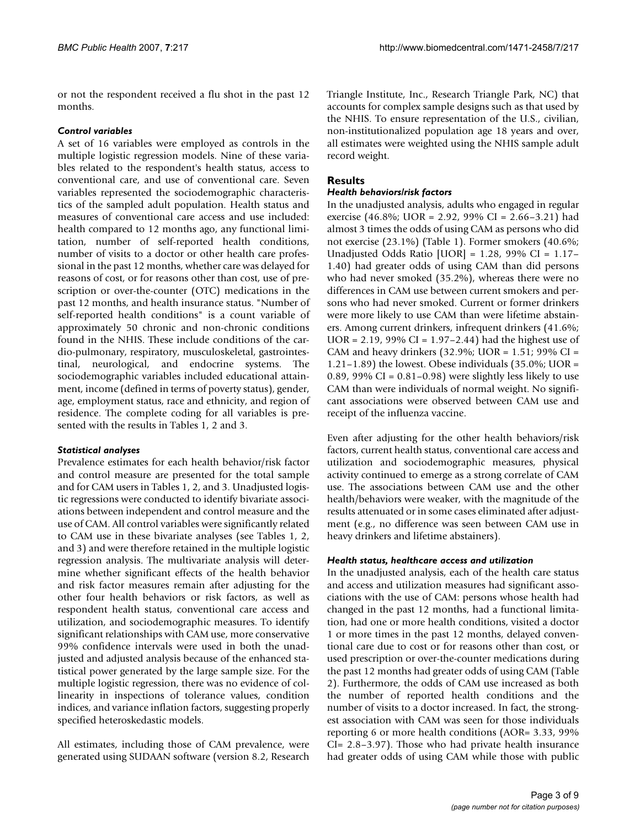or not the respondent received a flu shot in the past 12 months.

# *Control variables*

A set of 16 variables were employed as controls in the multiple logistic regression models. Nine of these variables related to the respondent's health status, access to conventional care, and use of conventional care. Seven variables represented the sociodemographic characteristics of the sampled adult population. Health status and measures of conventional care access and use included: health compared to 12 months ago, any functional limitation, number of self-reported health conditions, number of visits to a doctor or other health care professional in the past 12 months, whether care was delayed for reasons of cost, or for reasons other than cost, use of prescription or over-the-counter (OTC) medications in the past 12 months, and health insurance status. "Number of self-reported health conditions" is a count variable of approximately 50 chronic and non-chronic conditions found in the NHIS. These include conditions of the cardio-pulmonary, respiratory, musculoskeletal, gastrointestinal, neurological, and endocrine systems. The sociodemographic variables included educational attainment, income (defined in terms of poverty status), gender, age, employment status, race and ethnicity, and region of residence. The complete coding for all variables is presented with the results in Tables 1, 2 and 3.

# *Statistical analyses*

Prevalence estimates for each health behavior/risk factor and control measure are presented for the total sample and for CAM users in Tables 1, 2, and 3. Unadjusted logistic regressions were conducted to identify bivariate associations between independent and control measure and the use of CAM. All control variables were significantly related to CAM use in these bivariate analyses (see Tables 1, 2, and 3) and were therefore retained in the multiple logistic regression analysis. The multivariate analysis will determine whether significant effects of the health behavior and risk factor measures remain after adjusting for the other four health behaviors or risk factors, as well as respondent health status, conventional care access and utilization, and sociodemographic measures. To identify significant relationships with CAM use, more conservative 99% confidence intervals were used in both the unadjusted and adjusted analysis because of the enhanced statistical power generated by the large sample size. For the multiple logistic regression, there was no evidence of collinearity in inspections of tolerance values, condition indices, and variance inflation factors, suggesting properly specified heteroskedastic models.

All estimates, including those of CAM prevalence, were generated using SUDAAN software (version 8.2, Research

Triangle Institute, Inc., Research Triangle Park, NC) that accounts for complex sample designs such as that used by the NHIS. To ensure representation of the U.S., civilian, non-institutionalized population age 18 years and over, all estimates were weighted using the NHIS sample adult record weight.

# **Results**

# *Health behaviors/risk factors*

In the unadjusted analysis, adults who engaged in regular exercise (46.8%; UOR = 2.92, 99% CI = 2.66–3.21) had almost 3 times the odds of using CAM as persons who did not exercise (23.1%) (Table 1). Former smokers (40.6%; Unadjusted Odds Ratio [UOR] = 1.28, 99% CI = 1.17– 1.40) had greater odds of using CAM than did persons who had never smoked (35.2%), whereas there were no differences in CAM use between current smokers and persons who had never smoked. Current or former drinkers were more likely to use CAM than were lifetime abstainers. Among current drinkers, infrequent drinkers (41.6%;  $UOR = 2.19$ , 99% CI = 1.97-2.44) had the highest use of CAM and heavy drinkers  $(32.9\%)$ ; UOR = 1.51; 99% CI = 1.21–1.89) the lowest. Obese individuals  $(35.0\%; UOR =$ 0.89, 99% CI =  $0.81-0.98$ ) were slightly less likely to use CAM than were individuals of normal weight. No significant associations were observed between CAM use and receipt of the influenza vaccine.

Even after adjusting for the other health behaviors/risk factors, current health status, conventional care access and utilization and sociodemographic measures, physical activity continued to emerge as a strong correlate of CAM use. The associations between CAM use and the other health/behaviors were weaker, with the magnitude of the results attenuated or in some cases eliminated after adjustment (e.g., no difference was seen between CAM use in heavy drinkers and lifetime abstainers).

# *Health status, healthcare access and utilization*

In the unadjusted analysis, each of the health care status and access and utilization measures had significant associations with the use of CAM: persons whose health had changed in the past 12 months, had a functional limitation, had one or more health conditions, visited a doctor 1 or more times in the past 12 months, delayed conventional care due to cost or for reasons other than cost, or used prescription or over-the-counter medications during the past 12 months had greater odds of using CAM (Table 2). Furthermore, the odds of CAM use increased as both the number of reported health conditions and the number of visits to a doctor increased. In fact, the strongest association with CAM was seen for those individuals reporting 6 or more health conditions (AOR= 3.33, 99% CI= 2.8–3.97). Those who had private health insurance had greater odds of using CAM while those with public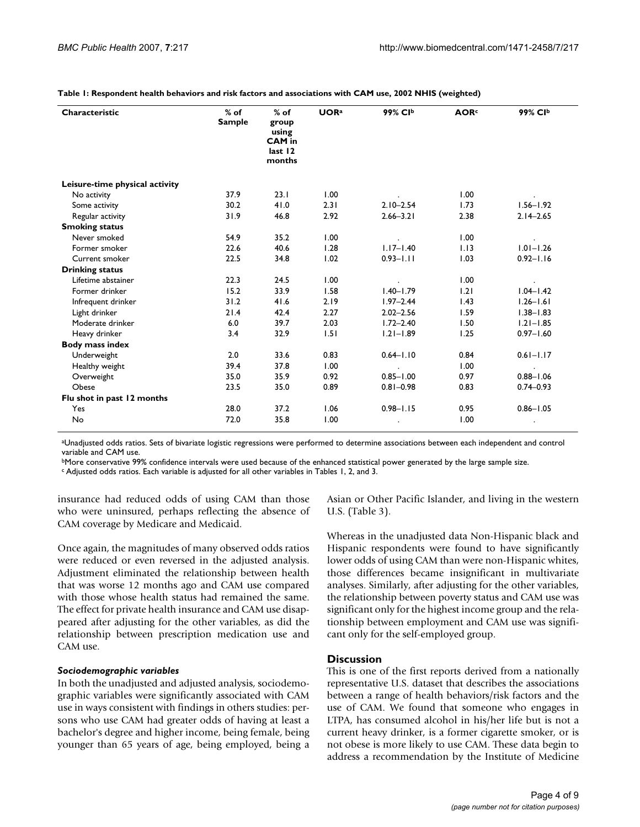| Characteristic                 | $%$ of<br><b>Sample</b> | $%$ of<br>group<br>using<br><b>CAM</b> in<br>last 12<br>months | <b>UOR</b> <sup>a</sup> | 99% CIb       | <b>AOR</b> <sup>c</sup> | 99% CIb       |
|--------------------------------|-------------------------|----------------------------------------------------------------|-------------------------|---------------|-------------------------|---------------|
| Leisure-time physical activity |                         |                                                                |                         |               |                         |               |
| No activity                    | 37.9                    | 23.1                                                           | 1.00                    |               | 1.00                    |               |
| Some activity                  | 30.2                    | 41.0                                                           | 2.31                    | $2.10 - 2.54$ | 1.73                    | $1.56 - 1.92$ |
| Regular activity               | 31.9                    | 46.8                                                           | 2.92                    | $2.66 - 3.21$ | 2.38                    | $2.14 - 2.65$ |
| <b>Smoking status</b>          |                         |                                                                |                         |               |                         |               |
| Never smoked                   | 54.9                    | 35.2                                                           | 1.00                    |               | 1.00                    |               |
| Former smoker                  | 22.6                    | 40.6                                                           | 1.28                    | $1.17 - 1.40$ | 1.13                    | $1.01 - 1.26$ |
| Current smoker                 | 22.5                    | 34.8                                                           | 1.02                    | $0.93 - 1.11$ | 1.03                    | $0.92 - 1.16$ |
| <b>Drinking status</b>         |                         |                                                                |                         |               |                         |               |
| Lifetime abstainer             | 22.3                    | 24.5                                                           | 1.00                    |               | 1.00                    |               |
| Former drinker                 | 15.2                    | 33.9                                                           | 1.58                    | $1.40 - 1.79$ | 1.21                    | $1.04 - 1.42$ |
| Infrequent drinker             | 31.2                    | 41.6                                                           | 2.19                    | $1.97 - 2.44$ | 1.43                    | $1.26 - 1.61$ |
| Light drinker                  | 21.4                    | 42.4                                                           | 2.27                    | $2.02 - 2.56$ | 1.59                    | $1.38 - 1.83$ |
| Moderate drinker               | 6.0                     | 39.7                                                           | 2.03                    | $1.72 - 2.40$ | 1.50                    | $1.21 - 1.85$ |
| Heavy drinker                  | 3.4                     | 32.9                                                           | 1.51                    | $1.21 - 1.89$ | 1.25                    | $0.97 - 1.60$ |
| <b>Body mass index</b>         |                         |                                                                |                         |               |                         |               |
| Underweight                    | 2.0                     | 33.6                                                           | 0.83                    | $0.64 - 1.10$ | 0.84                    | $0.61 - 1.17$ |
| Healthy weight                 | 39.4                    | 37.8                                                           | 1.00                    |               | 1.00                    |               |
| Overweight                     | 35.0                    | 35.9                                                           | 0.92                    | $0.85 - 1.00$ | 0.97                    | $0.88 - 1.06$ |
| Obese                          | 23.5                    | 35.0                                                           | 0.89                    | $0.81 - 0.98$ | 0.83                    | $0.74 - 0.93$ |
| Flu shot in past 12 months     |                         |                                                                |                         |               |                         |               |
| Yes                            | 28.0                    | 37.2                                                           | 1.06                    | $0.98 - 1.15$ | 0.95                    | $0.86 - 1.05$ |
| No                             | 72.0                    | 35.8                                                           | 1.00                    |               | 1.00                    |               |

**Table 1: Respondent health behaviors and risk factors and associations with CAM use, 2002 NHIS (weighted)**

aUnadjusted odds ratios. Sets of bivariate logistic regressions were performed to determine associations between each independent and control variable and CAM use.

bMore conservative 99% confidence intervals were used because of the enhanced statistical power generated by the large sample size.

c Adjusted odds ratios. Each variable is adjusted for all other variables in Tables 1, 2, and 3.

insurance had reduced odds of using CAM than those who were uninsured, perhaps reflecting the absence of CAM coverage by Medicare and Medicaid.

Once again, the magnitudes of many observed odds ratios were reduced or even reversed in the adjusted analysis. Adjustment eliminated the relationship between health that was worse 12 months ago and CAM use compared with those whose health status had remained the same. The effect for private health insurance and CAM use disappeared after adjusting for the other variables, as did the relationship between prescription medication use and CAM use.

#### *Sociodemographic variables*

In both the unadjusted and adjusted analysis, sociodemographic variables were significantly associated with CAM use in ways consistent with findings in others studies: persons who use CAM had greater odds of having at least a bachelor's degree and higher income, being female, being younger than 65 years of age, being employed, being a Asian or Other Pacific Islander, and living in the western U.S. (Table 3).

Whereas in the unadjusted data Non-Hispanic black and Hispanic respondents were found to have significantly lower odds of using CAM than were non-Hispanic whites, those differences became insignificant in multivariate analyses. Similarly, after adjusting for the other variables, the relationship between poverty status and CAM use was significant only for the highest income group and the relationship between employment and CAM use was significant only for the self-employed group.

#### **Discussion**

This is one of the first reports derived from a nationally representative U.S. dataset that describes the associations between a range of health behaviors/risk factors and the use of CAM. We found that someone who engages in LTPA, has consumed alcohol in his/her life but is not a current heavy drinker, is a former cigarette smoker, or is not obese is more likely to use CAM. These data begin to address a recommendation by the Institute of Medicine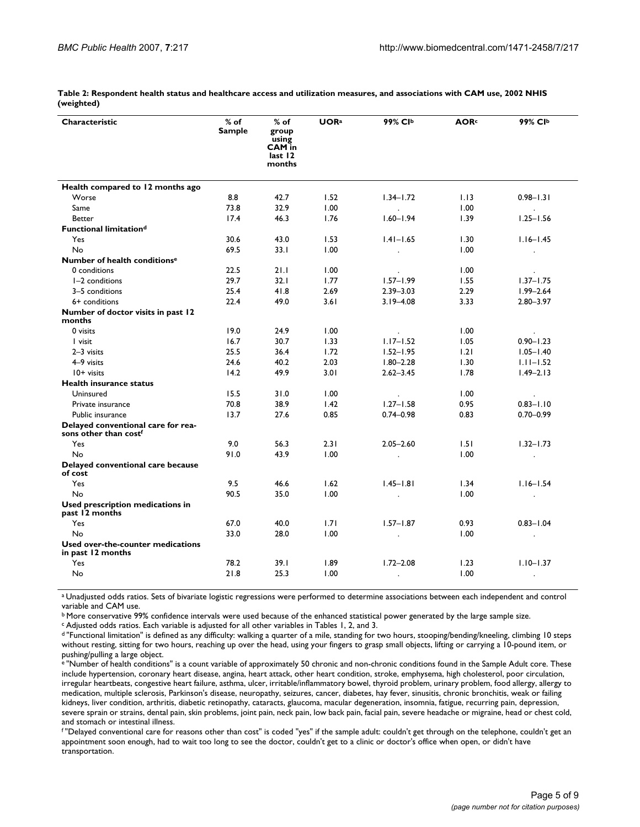| Characteristic                                              | $%$ of<br><b>Sample</b> | $%$ of<br>group<br>using<br><b>CAM</b> in<br>last 12<br>months | <b>UOR</b> <sup>a</sup> | 99% CIb              | <b>AOR</b> <sup>c</sup> | 99% CIb              |
|-------------------------------------------------------------|-------------------------|----------------------------------------------------------------|-------------------------|----------------------|-------------------------|----------------------|
| Health compared to 12 months ago                            |                         |                                                                |                         |                      |                         |                      |
| Worse                                                       | 8.8                     | 42.7                                                           | 1.52                    | $1.34 - 1.72$        | 1.13                    | $0.98 - 1.31$        |
| Same                                                        | 73.8                    | 32.9                                                           | 1.00                    |                      | 1.00                    |                      |
| <b>Better</b>                                               | 17.4                    | 46.3                                                           | 1.76                    | $1.60 - 1.94$        | 1.39                    | $1.25 - 1.56$        |
| <b>Functional limitationd</b>                               |                         |                                                                |                         |                      |                         |                      |
| Yes                                                         | 30.6                    | 43.0                                                           | 1.53                    | $1.41 - 1.65$        | 1.30                    | $1.16 - 1.45$        |
| <b>No</b>                                                   | 69.5                    | 33.1                                                           | 1.00                    | $\cdot$              | 1.00                    | $\blacksquare$       |
| Number of health conditions <sup>e</sup>                    |                         |                                                                |                         |                      |                         |                      |
| 0 conditions                                                | 22.5                    | 21.1                                                           | 1.00                    |                      | 1.00                    |                      |
| I-2 conditions                                              | 29.7                    | 32.1                                                           | 1.77                    | $1.57 - 1.99$        | 1.55                    | $1.37 - 1.75$        |
| 3-5 conditions                                              | 25.4                    | 41.8                                                           | 2.69                    | $2.39 - 3.03$        | 2.29                    | $1.99 - 2.64$        |
| 6+ conditions                                               | 22.4                    | 49.0                                                           | 3.61                    | $3.19 - 4.08$        | 3.33                    | $2.80 - 3.97$        |
| Number of doctor visits in past 12<br>months                |                         |                                                                |                         |                      |                         |                      |
| 0 visits                                                    | 19.0                    | 24.9                                                           | 1.00                    | $\cdot$              | 1.00                    | $\bullet$            |
| I visit                                                     | 16.7                    | 30.7                                                           | 1.33                    | $1.17 - 1.52$        | 1.05                    | $0.90 - 1.23$        |
| $2-3$ visits                                                | 25.5                    | 36.4                                                           | 1.72                    | $1.52 - 1.95$        | 1.21                    | $1.05 - 1.40$        |
| 4-9 visits                                                  | 24.6                    | 40.2                                                           | 2.03                    | $1.80 - 2.28$        | 1.30                    | $1.11 - 1.52$        |
| $10+$ visits                                                | 14.2                    | 49.9                                                           | 3.01                    | $2.62 - 3.45$        | 1.78                    | $1.49 - 2.13$        |
| <b>Health insurance status</b>                              |                         |                                                                |                         |                      |                         |                      |
| Uninsured                                                   | 15.5                    | 31.0                                                           | 1.00                    |                      | 1.00                    |                      |
| Private insurance                                           | 70.8                    | 38.9                                                           | 1.42                    | $1.27 - 1.58$        | 0.95                    | $0.83 - 1.10$        |
| Public insurance                                            | 13.7                    | 27.6                                                           | 0.85                    | $0.74 - 0.98$        | 0.83                    | $0.70 - 0.99$        |
| Delayed conventional care for rea-<br>sons other than costf |                         |                                                                |                         |                      |                         |                      |
| Yes                                                         | 9.0                     | 56.3                                                           | 2.31                    | $2.05 - 2.60$        | 1.51                    | $1.32 - 1.73$        |
| No                                                          | 91.0                    | 43.9                                                           | 1.00                    | $\cdot$              | 1.00                    | $\cdot$              |
| Delayed conventional care because<br>of cost                |                         |                                                                |                         |                      |                         |                      |
| Yes                                                         | 9.5                     | 46.6                                                           | 1.62                    | $1.45 - 1.81$        | 1.34                    | $1.16 - 1.54$        |
| <b>No</b>                                                   | 90.5                    | 35.0                                                           | 1.00                    | $\ddot{\phantom{a}}$ | 1.00                    | $\blacksquare$       |
| Used prescription medications in<br>past 12 months          |                         |                                                                |                         |                      |                         |                      |
| Yes                                                         | 67.0                    | 40.0                                                           | 1.71                    | $1.57 - 1.87$        | 0.93                    | $0.83 - 1.04$        |
| <b>No</b>                                                   | 33.0                    | 28.0                                                           | 1.00                    | $\cdot$              | 1.00                    | $\cdot$              |
| Used over-the-counter medications<br>in past 12 months      |                         |                                                                |                         |                      |                         |                      |
| Yes                                                         | 78.2                    | 39.1                                                           | 1.89                    | $1.72 - 2.08$        | 1.23                    | $1.10 - 1.37$        |
| <b>No</b>                                                   | 21.8                    | 25.3                                                           | 1.00                    |                      | 1.00                    | $\ddot{\phantom{0}}$ |

**Table 2: Respondent health status and healthcare access and utilization measures, and associations with CAM use, 2002 NHIS (weighted)**

a Unadjusted odds ratios. Sets of bivariate logistic regressions were performed to determine associations between each independent and control variable and CAM use.

b More conservative 99% confidence intervals were used because of the enhanced statistical power generated by the large sample size.

c Adjusted odds ratios. Each variable is adjusted for all other variables in Tables 1, 2, and 3.

d "Functional limitation" is defined as any difficulty: walking a quarter of a mile, standing for two hours, stooping/bending/kneeling, climbing 10 steps without resting, sitting for two hours, reaching up over the head, using your fingers to grasp small objects, lifting or carrying a 10-pound item, or pushing/pulling a large object.

e "Number of health conditions" is a count variable of approximately 50 chronic and non-chronic conditions found in the Sample Adult core. These include hypertension, coronary heart disease, angina, heart attack, other heart condition, stroke, emphysema, high cholesterol, poor circulation, irregular heartbeats, congestive heart failure, asthma, ulcer, irritable/inflammatory bowel, thyroid problem, urinary problem, food allergy, allergy to medication, multiple sclerosis, Parkinson's disease, neuropathy, seizures, cancer, diabetes, hay fever, sinusitis, chronic bronchitis, weak or failing kidneys, liver condition, arthritis, diabetic retinopathy, cataracts, glaucoma, macular degeneration, insomnia, fatigue, recurring pain, depression, severe sprain or strains, dental pain, skin problems, joint pain, neck pain, low back pain, facial pain, severe headache or migraine, head or chest cold, and stomach or intestinal illness.

f "Delayed conventional care for reasons other than cost" is coded "yes" if the sample adult: couldn't get through on the telephone, couldn't get an appointment soon enough, had to wait too long to see the doctor, couldn't get to a clinic or doctor's office when open, or didn't have transportation.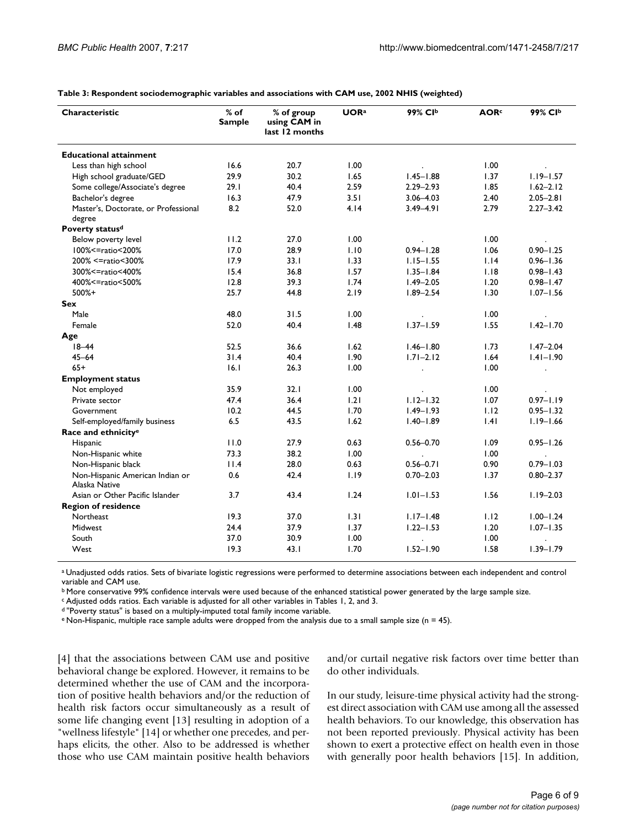| Characteristic                                   | $%$ of<br><b>Sample</b> | % of group<br>using CAM in<br>last 12 months | <b>UOR</b> <sup>a</sup> | 99% Clb       | <b>AOR</b> <sup>c</sup> | 99% CIb       |
|--------------------------------------------------|-------------------------|----------------------------------------------|-------------------------|---------------|-------------------------|---------------|
| <b>Educational attainment</b>                    |                         |                                              |                         |               |                         |               |
| Less than high school                            | 16.6                    | 20.7                                         | 1.00                    |               | 1.00                    |               |
| High school graduate/GED                         | 29.9                    | 30.2                                         | 1.65                    | $1.45 - 1.88$ | 1.37                    | $1.19 - 1.57$ |
| Some college/Associate's degree                  | 29.1                    | 40.4                                         | 2.59                    | $2.29 - 2.93$ | 1.85                    | $1.62 - 2.12$ |
| Bachelor's degree                                | 16.3                    | 47.9                                         | 3.51                    | $3.06 - 4.03$ | 2.40                    | $2.05 - 2.81$ |
| Master's, Doctorate, or Professional             | 8.2                     | 52.0                                         | 4.14                    | $3.49 - 4.91$ | 2.79                    | $2.27 - 3.42$ |
| degree                                           |                         |                                              |                         |               |                         |               |
| Poverty status <sup>d</sup>                      |                         |                                              |                         |               |                         |               |
| Below poverty level                              | 11.2                    | 27.0                                         | 1.00                    |               | 1.00                    |               |
| 100% <= ratio < 200%                             | 17.0                    | 28.9                                         | 1.10                    | $0.94 - 1.28$ | 1.06                    | $0.90 - 1.25$ |
| 200% <= ratio < 300%                             | 17.9                    | 33.1                                         | 1.33                    | $1.15 - 1.55$ | 1.14                    | $0.96 - 1.36$ |
| 300% <= ratio <400%                              | 15.4                    | 36.8                                         | 1.57                    | $1.35 - 1.84$ | 1.18                    | $0.98 - 1.43$ |
| 400% <= ratio < 500%                             | 12.8                    | 39.3                                         | 1.74                    | $1.49 - 2.05$ | 1.20                    | $0.98 - 1.47$ |
| 500%+                                            | 25.7                    | 44.8                                         | 2.19                    | $1.89 - 2.54$ | 1.30                    | $1.07 - 1.56$ |
| Sex                                              |                         |                                              |                         |               |                         |               |
| Male                                             | 48.0                    | 31.5                                         | 1.00                    |               | 1.00                    |               |
| Female                                           | 52.0                    | 40.4                                         | 1.48                    | $1.37 - 1.59$ | 1.55                    | $1.42 - 1.70$ |
| Age                                              |                         |                                              |                         |               |                         |               |
| $18 - 44$                                        | 52.5                    | 36.6                                         | 1.62                    | $1.46 - 1.80$ | 1.73                    | $1.47 - 2.04$ |
| $45 - 64$                                        | 31.4                    | 40.4                                         | 1.90                    | $1.71 - 2.12$ | 1.64                    | $1.41 - 1.90$ |
| $65+$                                            | 16.1                    | 26.3                                         | 1.00                    |               | 1.00                    |               |
| <b>Employment status</b>                         |                         |                                              |                         |               |                         |               |
| Not employed                                     | 35.9                    | 32.1                                         | 1.00                    |               | 1.00                    |               |
| Private sector                                   | 47.4                    | 36.4                                         | 1.21                    | $1.12 - 1.32$ | 1.07                    | $0.97 - 1.19$ |
| Government                                       | 10.2                    | 44.5                                         | 1.70                    | $1.49 - 1.93$ | 1.12                    | $0.95 - 1.32$ |
| Self-employed/family business                    | 6.5                     | 43.5                                         | 1.62                    | $1.40 - 1.89$ | .4                      | $1.19 - 1.66$ |
| Race and ethnicity <sup>e</sup>                  |                         |                                              |                         |               |                         |               |
| Hispanic                                         | 11.0                    | 27.9                                         | 0.63                    | $0.56 - 0.70$ | 1.09                    | $0.95 - 1.26$ |
| Non-Hispanic white                               | 73.3                    | 38.2                                         | 1.00                    |               | 1.00                    |               |
| Non-Hispanic black                               | 11.4                    | 28.0                                         | 0.63                    | $0.56 - 0.71$ | 0.90                    | $0.79 - 1.03$ |
| Non-Hispanic American Indian or<br>Alaska Native | 0.6                     | 42.4                                         | 1.19                    | $0.70 - 2.03$ | 1.37                    | $0.80 - 2.37$ |
| Asian or Other Pacific Islander                  | 3.7                     | 43.4                                         | 1.24                    | $1.01 - 1.53$ | 1.56                    | $1.19 - 2.03$ |
| <b>Region of residence</b>                       |                         |                                              |                         |               |                         |               |
| Northeast                                        | 19.3                    | 37.0                                         | 1.31                    | $1.17 - 1.48$ | 1.12                    | $1.00 - 1.24$ |
| Midwest                                          | 24.4                    | 37.9                                         | 1.37                    | $1.22 - 1.53$ | 1.20                    | $1.07 - 1.35$ |
| South                                            | 37.0                    | 30.9                                         | 1.00                    |               | 1.00                    |               |
| West                                             | 19.3                    | 43.1                                         | 1.70                    | $1.52 - 1.90$ | 1.58                    | $1.39 - 1.79$ |

**Table 3: Respondent sociodemographic variables and associations with CAM use, 2002 NHIS (weighted)**

a Unadjusted odds ratios. Sets of bivariate logistic regressions were performed to determine associations between each independent and control variable and CAM use.

b More conservative 99% confidence intervals were used because of the enhanced statistical power generated by the large sample size.

c Adjusted odds ratios. Each variable is adjusted for all other variables in Tables 1, 2, and 3.

d "Poverty status" is based on a multiply-imputed total family income variable.

e Non-Hispanic, multiple race sample adults were dropped from the analysis due to a small sample size (n = 45).

[4] that the associations between CAM use and positive behavioral change be explored. However, it remains to be determined whether the use of CAM and the incorporation of positive health behaviors and/or the reduction of health risk factors occur simultaneously as a result of some life changing event [13] resulting in adoption of a "wellness lifestyle" [14] or whether one precedes, and perhaps elicits, the other. Also to be addressed is whether those who use CAM maintain positive health behaviors and/or curtail negative risk factors over time better than do other individuals.

In our study, leisure-time physical activity had the strongest direct association with CAM use among all the assessed health behaviors. To our knowledge, this observation has not been reported previously. Physical activity has been shown to exert a protective effect on health even in those with generally poor health behaviors [15]. In addition,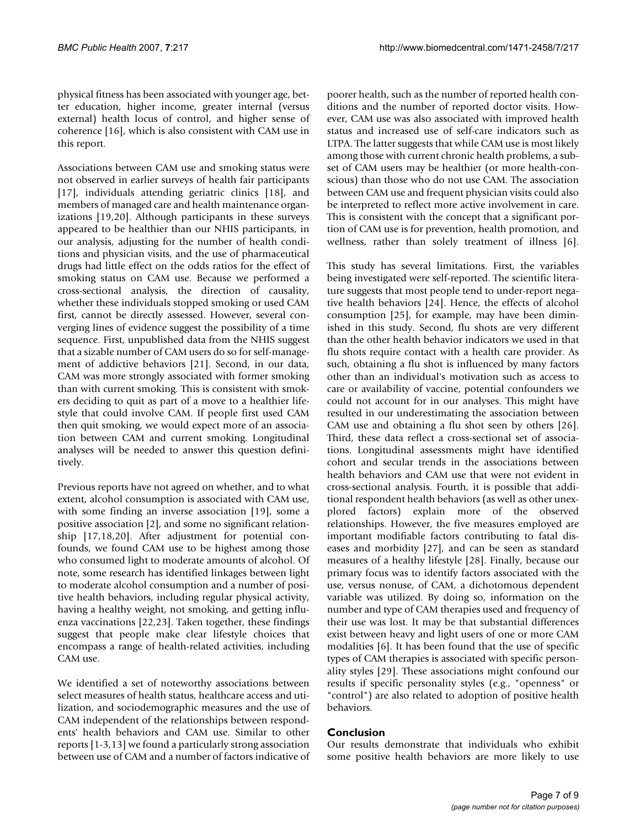physical fitness has been associated with younger age, better education, higher income, greater internal (versus external) health locus of control, and higher sense of coherence [16], which is also consistent with CAM use in this report.

Associations between CAM use and smoking status were not observed in earlier surveys of health fair participants [17], individuals attending geriatric clinics [18], and members of managed care and health maintenance organizations [19,20]. Although participants in these surveys appeared to be healthier than our NHIS participants, in our analysis, adjusting for the number of health conditions and physician visits, and the use of pharmaceutical drugs had little effect on the odds ratios for the effect of smoking status on CAM use. Because we performed a cross-sectional analysis, the direction of causality, whether these individuals stopped smoking or used CAM first, cannot be directly assessed. However, several converging lines of evidence suggest the possibility of a time sequence. First, unpublished data from the NHIS suggest that a sizable number of CAM users do so for self-management of addictive behaviors [21]. Second, in our data, CAM was more strongly associated with former smoking than with current smoking. This is consistent with smokers deciding to quit as part of a move to a healthier lifestyle that could involve CAM. If people first used CAM then quit smoking, we would expect more of an association between CAM and current smoking. Longitudinal analyses will be needed to answer this question definitively.

Previous reports have not agreed on whether, and to what extent, alcohol consumption is associated with CAM use, with some finding an inverse association [19], some a positive association [2], and some no significant relationship [17,18,20]. After adjustment for potential confounds, we found CAM use to be highest among those who consumed light to moderate amounts of alcohol. Of note, some research has identified linkages between light to moderate alcohol consumption and a number of positive health behaviors, including regular physical activity, having a healthy weight, not smoking, and getting influenza vaccinations [22,23]. Taken together, these findings suggest that people make clear lifestyle choices that encompass a range of health-related activities, including CAM use.

We identified a set of noteworthy associations between select measures of health status, healthcare access and utilization, and sociodemographic measures and the use of CAM independent of the relationships between respondents' health behaviors and CAM use. Similar to other reports [1-3,13] we found a particularly strong association between use of CAM and a number of factors indicative of poorer health, such as the number of reported health conditions and the number of reported doctor visits. However, CAM use was also associated with improved health status and increased use of self-care indicators such as LTPA. The latter suggests that while CAM use is most likely among those with current chronic health problems, a subset of CAM users may be healthier (or more health-conscious) than those who do not use CAM. The association between CAM use and frequent physician visits could also be interpreted to reflect more active involvement in care. This is consistent with the concept that a significant portion of CAM use is for prevention, health promotion, and wellness, rather than solely treatment of illness [6].

This study has several limitations. First, the variables being investigated were self-reported. The scientific literature suggests that most people tend to under-report negative health behaviors [24]. Hence, the effects of alcohol consumption [25], for example, may have been diminished in this study. Second, flu shots are very different than the other health behavior indicators we used in that flu shots require contact with a health care provider. As such, obtaining a flu shot is influenced by many factors other than an individual's motivation such as access to care or availability of vaccine, potential confounders we could not account for in our analyses. This might have resulted in our underestimating the association between CAM use and obtaining a flu shot seen by others [26]. Third, these data reflect a cross-sectional set of associations. Longitudinal assessments might have identified cohort and secular trends in the associations between health behaviors and CAM use that were not evident in cross-sectional analysis. Fourth, it is possible that additional respondent health behaviors (as well as other unexplored factors) explain more of the observed relationships. However, the five measures employed are important modifiable factors contributing to fatal diseases and morbidity [27], and can be seen as standard measures of a healthy lifestyle [28]. Finally, because our primary focus was to identify factors associated with the use, versus nonuse, of CAM, a dichotomous dependent variable was utilized. By doing so, information on the number and type of CAM therapies used and frequency of their use was lost. It may be that substantial differences exist between heavy and light users of one or more CAM modalities [6]. It has been found that the use of specific types of CAM therapies is associated with specific personality styles [29]. These associations might confound our results if specific personality styles (e.g., "openness" or "control") are also related to adoption of positive health behaviors.

# **Conclusion**

Our results demonstrate that individuals who exhibit some positive health behaviors are more likely to use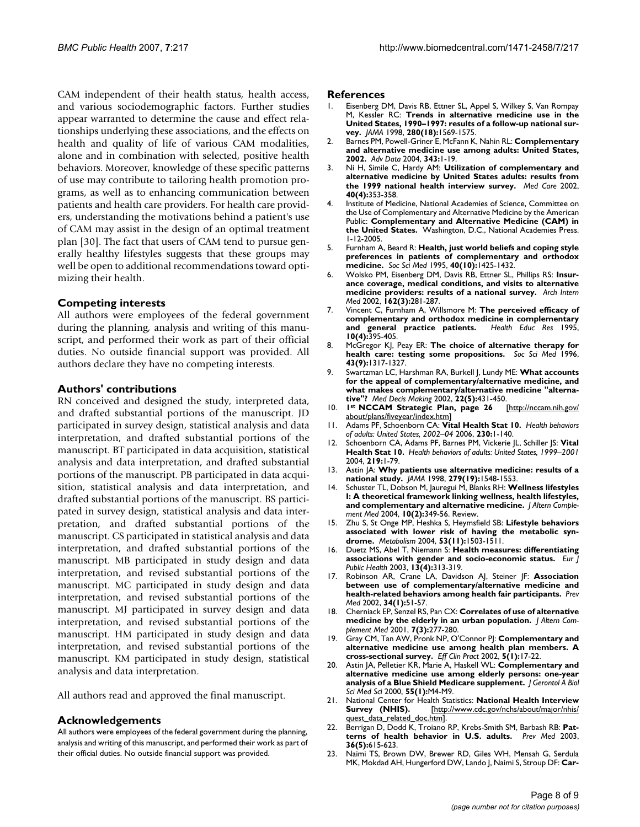CAM independent of their health status, health access, and various sociodemographic factors. Further studies appear warranted to determine the cause and effect relationships underlying these associations, and the effects on health and quality of life of various CAM modalities, alone and in combination with selected, positive health behaviors. Moreover, knowledge of these specific patterns of use may contribute to tailoring health promotion programs, as well as to enhancing communication between patients and health care providers. For health care providers, understanding the motivations behind a patient's use of CAM may assist in the design of an optimal treatment plan [30]. The fact that users of CAM tend to pursue generally healthy lifestyles suggests that these groups may well be open to additional recommendations toward optimizing their health.

#### **Competing interests**

All authors were employees of the federal government during the planning, analysis and writing of this manuscript, and performed their work as part of their official duties. No outside financial support was provided. All authors declare they have no competing interests.

#### **Authors' contributions**

RN conceived and designed the study, interpreted data, and drafted substantial portions of the manuscript. JD participated in survey design, statistical analysis and data interpretation, and drafted substantial portions of the manuscript. BT participated in data acquisition, statistical analysis and data interpretation, and drafted substantial portions of the manuscript. PB participated in data acquisition, statistical analysis and data interpretation, and drafted substantial portions of the manuscript. BS participated in survey design, statistical analysis and data interpretation, and drafted substantial portions of the manuscript. CS participated in statistical analysis and data interpretation, and drafted substantial portions of the manuscript. MB participated in study design and data interpretation, and revised substantial portions of the manuscript. MC participated in study design and data interpretation, and revised substantial portions of the manuscript. MJ participated in survey design and data interpretation, and revised substantial portions of the manuscript. HM participated in study design and data interpretation, and revised substantial portions of the manuscript. KM participated in study design, statistical analysis and data interpretation.

All authors read and approved the final manuscript.

#### **Acknowledgements**

All authors were employees of the federal government during the planning, analysis and writing of this manuscript, and performed their work as part of their official duties. No outside financial support was provided.

#### **References**

- 1. Eisenberg DM, Davis RB, Ettner SL, Appel S, Wilkey S, Van Rompay M, Kessler RC: **[Trends in alternative medicine use in the](http://www.ncbi.nlm.nih.gov/entrez/query.fcgi?cmd=Retrieve&db=PubMed&dopt=Abstract&list_uids=9820257) [United States, 1990–1997: results of a follow-up national sur](http://www.ncbi.nlm.nih.gov/entrez/query.fcgi?cmd=Retrieve&db=PubMed&dopt=Abstract&list_uids=9820257)[vey.](http://www.ncbi.nlm.nih.gov/entrez/query.fcgi?cmd=Retrieve&db=PubMed&dopt=Abstract&list_uids=9820257)** *JAMA* 1998, **280(18):**1569-1575.
- 2. Barnes PM, Powell-Griner E, McFann K, Nahin RL: **[Complementary](http://www.ncbi.nlm.nih.gov/entrez/query.fcgi?cmd=Retrieve&db=PubMed&dopt=Abstract&list_uids=15188733) [and alternative medicine use among adults: United States,](http://www.ncbi.nlm.nih.gov/entrez/query.fcgi?cmd=Retrieve&db=PubMed&dopt=Abstract&list_uids=15188733) [2002.](http://www.ncbi.nlm.nih.gov/entrez/query.fcgi?cmd=Retrieve&db=PubMed&dopt=Abstract&list_uids=15188733)** *Adv Data* 2004, **343:**1-19.
- 3. Ni H, Simile C, Hardy AM: **[Utilization of complementary and](http://www.ncbi.nlm.nih.gov/entrez/query.fcgi?cmd=Retrieve&db=PubMed&dopt=Abstract&list_uids=12021691) [alternative medicine by United States adults: results from](http://www.ncbi.nlm.nih.gov/entrez/query.fcgi?cmd=Retrieve&db=PubMed&dopt=Abstract&list_uids=12021691) [the 1999 national health interview survey.](http://www.ncbi.nlm.nih.gov/entrez/query.fcgi?cmd=Retrieve&db=PubMed&dopt=Abstract&list_uids=12021691)** *Med Care* 2002, **40(4):**353-358.
- Institute of Medicine, National Academies of Science, Committee on the Use of Complementary and Alternative Medicine by the American Public: **Complementary and Alternative Medicine (CAM) in the United States.** Washington, D.C., National Academies Press. 1-12-2005.
- 5. Furnham A, Beard R: **[Health, just world beliefs and coping style](http://www.ncbi.nlm.nih.gov/entrez/query.fcgi?cmd=Retrieve&db=PubMed&dopt=Abstract&list_uids=7638651) [preferences in patients of complementary and orthodox](http://www.ncbi.nlm.nih.gov/entrez/query.fcgi?cmd=Retrieve&db=PubMed&dopt=Abstract&list_uids=7638651) [medicine.](http://www.ncbi.nlm.nih.gov/entrez/query.fcgi?cmd=Retrieve&db=PubMed&dopt=Abstract&list_uids=7638651)** *Soc Sci Med* 1995, **40(10):**1425-1432.
- 6. Wolsko PM, Eisenberg DM, Davis RB, Ettner SL, Phillips RS: **[Insur](http://www.ncbi.nlm.nih.gov/entrez/query.fcgi?cmd=Retrieve&db=PubMed&dopt=Abstract&list_uids=11822920)[ance coverage, medical conditions, and visits to alternative](http://www.ncbi.nlm.nih.gov/entrez/query.fcgi?cmd=Retrieve&db=PubMed&dopt=Abstract&list_uids=11822920) [medicine providers: results of a national survey.](http://www.ncbi.nlm.nih.gov/entrez/query.fcgi?cmd=Retrieve&db=PubMed&dopt=Abstract&list_uids=11822920)** *Arch Intern Med* 2002, **162(3):**281-287.
- 7. Vincent C, Furnham A, Willsmore M: **[The perceived efficacy of](http://www.ncbi.nlm.nih.gov/entrez/query.fcgi?cmd=Retrieve&db=PubMed&dopt=Abstract&list_uids=10159673) [complementary and orthodox medicine in complementary](http://www.ncbi.nlm.nih.gov/entrez/query.fcgi?cmd=Retrieve&db=PubMed&dopt=Abstract&list_uids=10159673)** [and general practice patients.](http://www.ncbi.nlm.nih.gov/entrez/query.fcgi?cmd=Retrieve&db=PubMed&dopt=Abstract&list_uids=10159673) **10(4):**395-405.
- 8. McGregor KJ, Peay ER: **[The choice of alternative therapy for](http://www.ncbi.nlm.nih.gov/entrez/query.fcgi?cmd=Retrieve&db=PubMed&dopt=Abstract&list_uids=8913002) [health care: testing some propositions.](http://www.ncbi.nlm.nih.gov/entrez/query.fcgi?cmd=Retrieve&db=PubMed&dopt=Abstract&list_uids=8913002)** *Soc Sci Med* 1996, **43(9):**1317-1327.
- 9. Swartzman LC, Harshman RA, Burkell J, Lundy ME: **[What accounts](http://www.ncbi.nlm.nih.gov/entrez/query.fcgi?cmd=Retrieve&db=PubMed&dopt=Abstract&list_uids=12365485) for the appeal of complementary/alternative medicine, and [what makes complementary/alternative medicine "alterna-](http://www.ncbi.nlm.nih.gov/entrez/query.fcgi?cmd=Retrieve&db=PubMed&dopt=Abstract&list_uids=12365485)**
- **[tive"?](http://www.ncbi.nlm.nih.gov/entrez/query.fcgi?cmd=Retrieve&db=PubMed&dopt=Abstract&list_uids=12365485)** *Med Decis Making* 2002, **22(5):**431-450. 10. Ist NCCAM Strategic Plan, page 26 [about/plans/fiveyear/index.htm\]](http://nccam.nih.gov/about/plans/fiveyear/index.htm)
- 11. Adams PF, Schoenborn CA: **Vital Health Stat 10.** *Health behaviors of adults: United States, 2002–04* 2006, **230:**1-140.
- 12. Schoenborn CA, Adams PF, Barnes PM, Vickerie JL, Schiller JS: **Vital Health Stat 10.** *Health behaviors of adults: United States, 1999–2001* 2004, **219:**1-79.
- 13. Astin JA: **[Why patients use alternative medicine: results of a](http://www.ncbi.nlm.nih.gov/entrez/query.fcgi?cmd=Retrieve&db=PubMed&dopt=Abstract&list_uids=9605899) [national study.](http://www.ncbi.nlm.nih.gov/entrez/query.fcgi?cmd=Retrieve&db=PubMed&dopt=Abstract&list_uids=9605899)** *JAMA* 1998, **279(19):**1548-1553.
- 14. Schuster TL, Dobson M, Jauregui M, Blanks RH: **[Wellness lifestyles](http://www.ncbi.nlm.nih.gov/entrez/query.fcgi?cmd=Retrieve&db=PubMed&dopt=Abstract&list_uids=15165416) [I: A theoretical framework linking wellness, health lifestyles,](http://www.ncbi.nlm.nih.gov/entrez/query.fcgi?cmd=Retrieve&db=PubMed&dopt=Abstract&list_uids=15165416) [and complementary and alternative medicine.](http://www.ncbi.nlm.nih.gov/entrez/query.fcgi?cmd=Retrieve&db=PubMed&dopt=Abstract&list_uids=15165416)** *J Altern Complement Med* 2004, **10(2):**349-56. Review.
- 15. Zhu S, St Onge MP, Heshka S, Heymsfield SB: **[Lifestyle behaviors](http://www.ncbi.nlm.nih.gov/entrez/query.fcgi?cmd=Retrieve&db=PubMed&dopt=Abstract&list_uids=15536610) [associated with lower risk of having the metabolic syn](http://www.ncbi.nlm.nih.gov/entrez/query.fcgi?cmd=Retrieve&db=PubMed&dopt=Abstract&list_uids=15536610)[drome.](http://www.ncbi.nlm.nih.gov/entrez/query.fcgi?cmd=Retrieve&db=PubMed&dopt=Abstract&list_uids=15536610)** *Metabolism* 2004, **53(11):**1503-1511.
- 16. Duetz MS, Abel T, Niemann S: **[Health measures: differentiating](http://www.ncbi.nlm.nih.gov/entrez/query.fcgi?cmd=Retrieve&db=PubMed&dopt=Abstract&list_uids=14703317) [associations with gender and socio-economic status.](http://www.ncbi.nlm.nih.gov/entrez/query.fcgi?cmd=Retrieve&db=PubMed&dopt=Abstract&list_uids=14703317)** *Eur J Public Health* 2003, **13(4):**313-319.
- 17. Robinson AR, Crane LA, Davidson AJ, Steiner JF: **[Association](http://www.ncbi.nlm.nih.gov/entrez/query.fcgi?cmd=Retrieve&db=PubMed&dopt=Abstract&list_uids=11749096) [between use of complementary/alternative medicine and](http://www.ncbi.nlm.nih.gov/entrez/query.fcgi?cmd=Retrieve&db=PubMed&dopt=Abstract&list_uids=11749096) [health-related behaviors among health fair participants.](http://www.ncbi.nlm.nih.gov/entrez/query.fcgi?cmd=Retrieve&db=PubMed&dopt=Abstract&list_uids=11749096)** *Prev Med* 2002, **34(1):**51-57.
- 18. Cherniack EP, Senzel RS, Pan CX: **[Correlates of use of alternative](http://www.ncbi.nlm.nih.gov/entrez/query.fcgi?cmd=Retrieve&db=PubMed&dopt=Abstract&list_uids=11439850) [medicine by the elderly in an urban population.](http://www.ncbi.nlm.nih.gov/entrez/query.fcgi?cmd=Retrieve&db=PubMed&dopt=Abstract&list_uids=11439850)** *J Altern Complement Med* 2001, **7(3):**277-280.
- 19. Gray CM, Tan AW, Pronk NP, O'Connor PJ: **[Complementary and](http://www.ncbi.nlm.nih.gov/entrez/query.fcgi?cmd=Retrieve&db=PubMed&dopt=Abstract&list_uids=11878283) [alternative medicine use among health plan members. A](http://www.ncbi.nlm.nih.gov/entrez/query.fcgi?cmd=Retrieve&db=PubMed&dopt=Abstract&list_uids=11878283) [cross-sectional survey.](http://www.ncbi.nlm.nih.gov/entrez/query.fcgi?cmd=Retrieve&db=PubMed&dopt=Abstract&list_uids=11878283)** *Eff Clin Pract* 2002, **5(1):**17-22.
- 20. Astin JA, Pelletier KR, Marie A, Haskell WL: **[Complementary and](http://www.ncbi.nlm.nih.gov/entrez/query.fcgi?cmd=Retrieve&db=PubMed&dopt=Abstract&list_uids=10719766) [alternative medicine use among elderly persons: one-year](http://www.ncbi.nlm.nih.gov/entrez/query.fcgi?cmd=Retrieve&db=PubMed&dopt=Abstract&list_uids=10719766) [analysis of a Blue Shield Medicare supplement.](http://www.ncbi.nlm.nih.gov/entrez/query.fcgi?cmd=Retrieve&db=PubMed&dopt=Abstract&list_uids=10719766)** *J Gerontol A Biol Sci Med Sci* 2000, **55(1):**M4-M9.
- 21. National Center for Health Statistics: **National Health Interview** Survey (NHIS). [\[http://www.cdc.gov/nchs/about/major/nhis/](http://www.cdc.gov/nchs/about/major/nhis/quest_data_related_doc.htm) [quest\\_data\\_related\\_doc.htm\]](http://www.cdc.gov/nchs/about/major/nhis/quest_data_related_doc.htm).
- 22. Berrigan D, Dodd K, Troiano RP, Krebs-Smith SM, Barbash RB: **[Pat](http://www.ncbi.nlm.nih.gov/entrez/query.fcgi?cmd=Retrieve&db=PubMed&dopt=Abstract&list_uids=12689807)[terns of health behavior in U.S. adults.](http://www.ncbi.nlm.nih.gov/entrez/query.fcgi?cmd=Retrieve&db=PubMed&dopt=Abstract&list_uids=12689807)** *Prev Med* 2003, **36(5):**615-623.
- 23. Naimi TS, Brown DW, Brewer RD, Giles WH, Mensah G, Serdula MK, Mokdad AH, Hungerford DW, Lando J, Naimi S, Stroup DF: **[Car](http://www.ncbi.nlm.nih.gov/entrez/query.fcgi?cmd=Retrieve&db=PubMed&dopt=Abstract&list_uids=15831343)-**